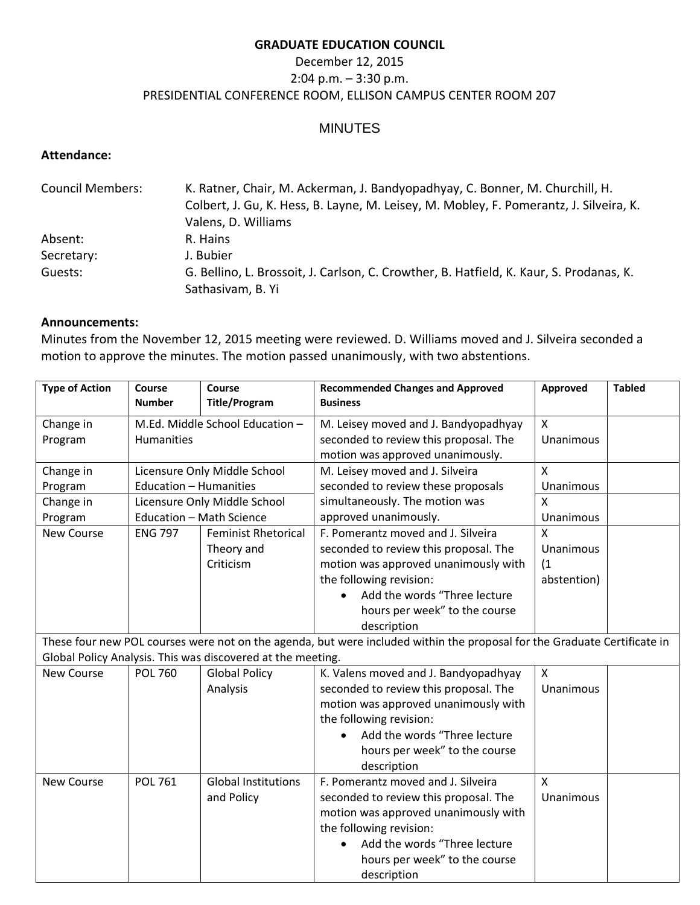### **GRADUATE EDUCATION COUNCIL**

# December 12, 2015 2:04 p.m. – 3:30 p.m. PRESIDENTIAL CONFERENCE ROOM, ELLISON CAMPUS CENTER ROOM 207

# MINUTES

#### **Attendance:**

| <b>Council Members:</b> | K. Ratner, Chair, M. Ackerman, J. Bandyopadhyay, C. Bonner, M. Churchill, H.            |  |  |
|-------------------------|-----------------------------------------------------------------------------------------|--|--|
|                         | Colbert, J. Gu, K. Hess, B. Layne, M. Leisey, M. Mobley, F. Pomerantz, J. Silveira, K.  |  |  |
|                         | Valens, D. Williams                                                                     |  |  |
| Absent:                 | R. Hains                                                                                |  |  |
| Secretary:              | J. Bubier                                                                               |  |  |
| Guests:                 | G. Bellino, L. Brossoit, J. Carlson, C. Crowther, B. Hatfield, K. Kaur, S. Prodanas, K. |  |  |
|                         | Sathasivam, B. Yi                                                                       |  |  |

#### **Announcements:**

Minutes from the November 12, 2015 meeting were reviewed. D. Williams moved and J. Silveira seconded a motion to approve the minutes. The motion passed unanimously, with two abstentions.

| <b>Type of Action</b> | Course<br><b>Number</b>         | Course<br><b>Title/Program</b>                              | <b>Recommended Changes and Approved</b><br><b>Business</b>                                                               | Approved                  | <b>Tabled</b> |
|-----------------------|---------------------------------|-------------------------------------------------------------|--------------------------------------------------------------------------------------------------------------------------|---------------------------|---------------|
|                       |                                 |                                                             |                                                                                                                          |                           |               |
| Change in             | M.Ed. Middle School Education - |                                                             | M. Leisey moved and J. Bandyopadhyay                                                                                     | $\mathsf{X}$              |               |
| Program               | Humanities                      |                                                             | seconded to review this proposal. The                                                                                    | Unanimous                 |               |
|                       |                                 |                                                             | motion was approved unanimously.                                                                                         |                           |               |
| Change in             |                                 | Licensure Only Middle School                                | M. Leisey moved and J. Silveira                                                                                          | $\boldsymbol{\mathsf{X}}$ |               |
| Program               | Education - Humanities          |                                                             | seconded to review these proposals                                                                                       | Unanimous                 |               |
| Change in             |                                 | Licensure Only Middle School                                | simultaneously. The motion was                                                                                           | X                         |               |
| Program               | <b>Education - Math Science</b> |                                                             | approved unanimously.                                                                                                    | Unanimous                 |               |
| <b>New Course</b>     | <b>ENG 797</b>                  | <b>Feminist Rhetorical</b>                                  | F. Pomerantz moved and J. Silveira                                                                                       | $\mathsf{X}$              |               |
|                       |                                 | Theory and                                                  | seconded to review this proposal. The                                                                                    | Unanimous                 |               |
|                       |                                 | Criticism                                                   | motion was approved unanimously with                                                                                     | (1)                       |               |
|                       |                                 |                                                             | the following revision:                                                                                                  | abstention)               |               |
|                       |                                 |                                                             | Add the words "Three lecture                                                                                             |                           |               |
|                       |                                 |                                                             | hours per week" to the course                                                                                            |                           |               |
|                       |                                 |                                                             | description                                                                                                              |                           |               |
|                       |                                 |                                                             | These four new POL courses were not on the agenda, but were included within the proposal for the Graduate Certificate in |                           |               |
|                       |                                 | Global Policy Analysis. This was discovered at the meeting. |                                                                                                                          |                           |               |
| New Course            | <b>POL 760</b>                  | <b>Global Policy</b>                                        | K. Valens moved and J. Bandyopadhyay                                                                                     | $\mathsf{X}$              |               |
|                       |                                 | Analysis                                                    | seconded to review this proposal. The                                                                                    | Unanimous                 |               |
|                       |                                 |                                                             | motion was approved unanimously with                                                                                     |                           |               |
|                       |                                 |                                                             | the following revision:                                                                                                  |                           |               |
|                       |                                 |                                                             | Add the words "Three lecture                                                                                             |                           |               |
|                       |                                 |                                                             | hours per week" to the course                                                                                            |                           |               |
|                       |                                 |                                                             | description                                                                                                              |                           |               |
| <b>New Course</b>     | <b>POL 761</b>                  | <b>Global Institutions</b>                                  | F. Pomerantz moved and J. Silveira                                                                                       | $\mathsf{x}$              |               |
|                       |                                 | and Policy                                                  | seconded to review this proposal. The                                                                                    | Unanimous                 |               |
|                       |                                 |                                                             | motion was approved unanimously with                                                                                     |                           |               |
|                       |                                 |                                                             | the following revision:                                                                                                  |                           |               |
|                       |                                 |                                                             | Add the words "Three lecture                                                                                             |                           |               |
|                       |                                 |                                                             | hours per week" to the course                                                                                            |                           |               |
|                       |                                 |                                                             | description                                                                                                              |                           |               |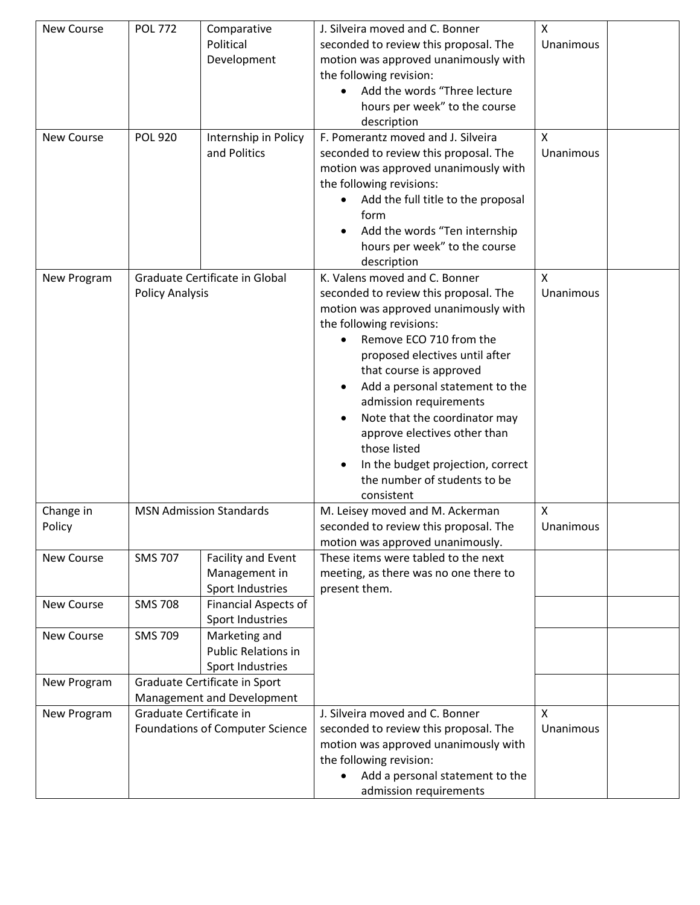| New Course  | <b>POL 772</b>             | Comparative                     | J. Silveira moved and C. Bonner       | Χ         |  |
|-------------|----------------------------|---------------------------------|---------------------------------------|-----------|--|
|             |                            | Political                       | seconded to review this proposal. The | Unanimous |  |
|             |                            | Development                     | motion was approved unanimously with  |           |  |
|             |                            |                                 | the following revision:               |           |  |
|             |                            |                                 | Add the words "Three lecture          |           |  |
|             |                            |                                 | hours per week" to the course         |           |  |
|             |                            |                                 | description                           |           |  |
| New Course  | <b>POL 920</b>             | Internship in Policy            | F. Pomerantz moved and J. Silveira    | X         |  |
|             |                            | and Politics                    | seconded to review this proposal. The | Unanimous |  |
|             |                            |                                 | motion was approved unanimously with  |           |  |
|             |                            |                                 | the following revisions:              |           |  |
|             |                            |                                 | Add the full title to the proposal    |           |  |
|             |                            |                                 | form                                  |           |  |
|             |                            |                                 | Add the words "Ten internship         |           |  |
|             |                            |                                 | hours per week" to the course         |           |  |
|             |                            |                                 | description                           |           |  |
| New Program |                            | Graduate Certificate in Global  | K. Valens moved and C. Bonner         | X         |  |
|             | <b>Policy Analysis</b>     |                                 | seconded to review this proposal. The | Unanimous |  |
|             |                            |                                 | motion was approved unanimously with  |           |  |
|             |                            |                                 | the following revisions:              |           |  |
|             |                            |                                 | Remove ECO 710 from the               |           |  |
|             |                            |                                 | proposed electives until after        |           |  |
|             |                            |                                 | that course is approved               |           |  |
|             |                            |                                 | Add a personal statement to the       |           |  |
|             |                            |                                 | admission requirements                |           |  |
|             |                            |                                 | Note that the coordinator may         |           |  |
|             |                            |                                 | approve electives other than          |           |  |
|             |                            |                                 | those listed                          |           |  |
|             |                            |                                 | In the budget projection, correct     |           |  |
|             |                            |                                 | the number of students to be          |           |  |
|             |                            |                                 | consistent                            |           |  |
| Change in   |                            | <b>MSN Admission Standards</b>  | M. Leisey moved and M. Ackerman       | X         |  |
| Policy      |                            |                                 | seconded to review this proposal. The | Unanimous |  |
|             |                            |                                 | motion was approved unanimously.      |           |  |
| New Course  | <b>SMS 707</b>             | Facility and Event              | These items were tabled to the next   |           |  |
|             |                            | Management in                   | meeting, as there was no one there to |           |  |
|             |                            | Sport Industries                | present them.                         |           |  |
| New Course  | <b>SMS 708</b>             | <b>Financial Aspects of</b>     |                                       |           |  |
|             |                            | Sport Industries                |                                       |           |  |
| New Course  | <b>SMS 709</b>             | Marketing and                   |                                       |           |  |
|             |                            | Public Relations in             |                                       |           |  |
|             |                            | Sport Industries                |                                       |           |  |
| New Program |                            | Graduate Certificate in Sport   |                                       |           |  |
|             | Management and Development |                                 |                                       |           |  |
| New Program | Graduate Certificate in    |                                 | J. Silveira moved and C. Bonner       | X         |  |
|             |                            | Foundations of Computer Science | seconded to review this proposal. The | Unanimous |  |
|             |                            |                                 | motion was approved unanimously with  |           |  |
|             |                            |                                 | the following revision:               |           |  |
|             |                            |                                 | Add a personal statement to the       |           |  |
|             |                            |                                 | admission requirements                |           |  |